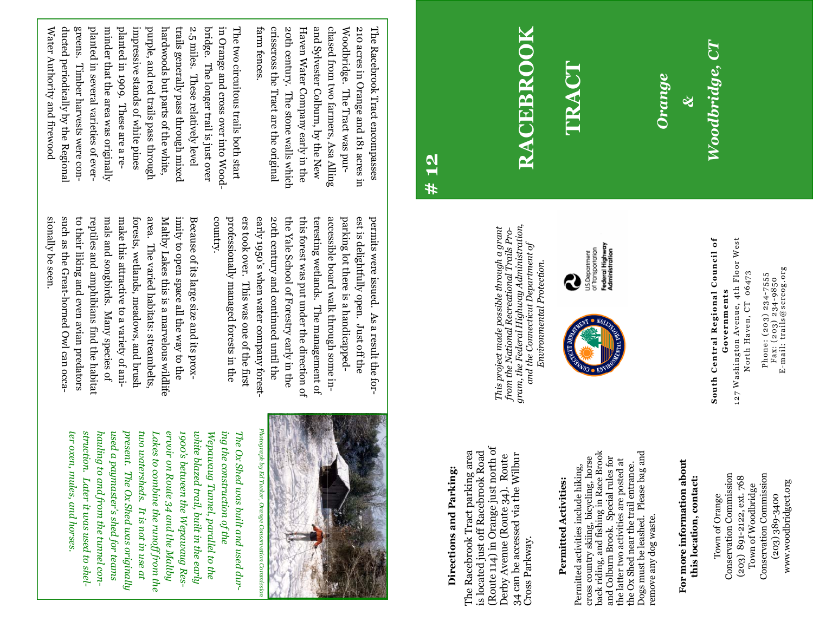North Haven, CT 06473 North Haven, CT 06473 Phone: (203) 234-7555 Fax: (203) 234-9850

Phone: (203) 234-7555<br>Fax: (203) 234-9850<br>E-mail: trails@scrcog.org E-mail: trails@scrcog.org

127 Washington Avenue, 4th Floor West 127 Washington Avenue, 4th Floor West Governments **Governments** 

**South Central Regional Council of**  South Central Regional Council of

Conservation Commission Conservation Commission Conservation Commission Conservation Commission (203) 891-2122, ext. 768 (203) 891-2122, ext. 768 Town of Woodbridge Town of Woodbridge (203) 389-3400 Town of Orange  $(203) 389 - 3400$ Town of Orange

www.woodbridgect.org

www.woodbridgect.org

This project made possible through a grant<br>from the National Recreational Trails Pro-<br>gram, the Federal Highway Administration, *gram, the Federal Highway Administration, This project made possible through a grant from the National Recreational Trails Pro*and the Connecticut Department of *and the Connecticut Department of Environmental Protection.*Environmental Protection

**RACEBROOK** 

**RACEBROOK** 

**TRACT**

*Orange* 

*&* 

*Woodbridge, CT* 

Woodbridge, CT

**Directions and Parking:**  Directions and Parking:

**# 12** 

(Route 114) in Orange just north of (Route 114) in Orange just north of The Racebrook Tract parking area is located just off Racebrook Road The Racebrook Tract parking area is located just off Racebrook Road 34 can be accessed via the Wilbur Derby Avenue (Route 34). Route 34 can be accessed via the Wilbur Derby Avenue (Route 34). Route Cross Parkway. Cross Parkway.

# Permitted activities include hiking, Permitted activities include hiking, **Permitted Activities:**  Permitted Activities:

cross country skiing, bicycling, horse<br>back riding, and fishing in Race Brook cross country skiing, bicycling, horse

Federal Highway<br>Administration US.Department<br>of Transportation

Q

back riding, and fishing in Race Brook Dogs must be leashed. Please bag and Dogs must be leashed. Please bag and and Colburn Brook. Special rules for and Colburn Brook. Special rules for the latter two activities are posted at the latter two activities are posted at the Ox Shed near the trail entrance. the Ox Shed near the trail entrance. remove any dog waste. remove any dog waste.

**For more information about**  For more information about **this location, contact:**  this location, contact:

Photograph by Ed Tucker, Orange Conservation Commission *Photograph by Ed Tucker, Orange Conservation Commission* 

ervoir on Route 34 and the Maltby ter oxen, mules, and horses. struction. Later it was used to shel*struction. Later it was used to shel*used a paymaster's shed for teams present. The Ox Shed was originally *present. The Ox Shed was originally Lakes to combine the runoff from the*  1900's between the Wepawaug Res-*1900's between the Wepawaug Res*white blazed trail, built in the early Wepawaug Tunnel, parallel to the ing the construction of the *ter oxen, mules, and horses.*  hauling to and from the tunnel con*hauling to and from the tunnel conused a paymaster's shed for teams*  two watersheds. It is not in use at *two watersheds. It is not in use at*  Lakes to combine the runoff from the *ervoir on Route 34 and the Maltby white blazed trail, built in the early Wepawaug Tunnel, parallel to the ing the construction of the*  The Ox Shed was built and used dur-*The Ox Shed was built and used dur-*

country.

such as the Great-horned Owl can occamals and songbirds. Many species of sionally be seen. to their liking and even avian predators to their liking and even avian predators reptiles and amphibians find the habitat make this attractive to a variety of aniforests, wetlands, meadows, and brush forests, wetlands, meadows, and brush area. The varied habitats: streambelts, Maltby Lakes this is a marvelous wildlife imity to open space all the way to the Because of its large size and its proxsionally be seen. such as the Great-horned Owl can occareptiles and amphibians find the habitat mals and songbirds. Many species of make this attractive to a variety of aniarea. The varied habitats: streambelts, Maltby Lakes this is a marvelous wildlife imity to open space all the way to the Because of its large size and its prox-



Water Authority and firewood ducted periodically by the Regional greens. Timber harvests were conplanted in several varieties of everminder that the area was originally planted in 1909. These are a reimpressive stands of white pines purple, and red trails pass through hardwoods but parts of the white trails generally pass through mixed 2.5 miles. These relatively level bridge. The longer trail is just over in Orange and cross over into Wood-The two circuitous trails both start Water Authority and firewood ducted periodically by the Regional greens. Timber harvests were conplanted in several varieties of everminder that the area was originally planted in 1909. These are a reimpressive stands of white pines purple, and red trails pass through hardwoods but parts of the white, trails generally pass through mixed 2.5 miles. These relatively level bridge. The longer trail is just over in Orange and cross over into Wood-The two circuitous trails both start

> early 1950's when water company forestaccessible board walk through some inprofessionally managed forests in the professionally managed forests in the ers took over. This was one of the first 20th century and continued until the the Yale School of Forestry early in the the Yale School of Forestry early in the this forest was put under the direction of this forest was put under the direction of teresting wetlands. The management of teresting wetlands. The management of parking lot there is a handicappedparking lot there is a handicappedest is delightfully open. Just off the permits were issued. As a result the forpermits were issued. As a result the forers took over. This was one of the first early 1950's when water company forest-20th century and continued until the accessible board walk through some inest is delightfully open. Just off the